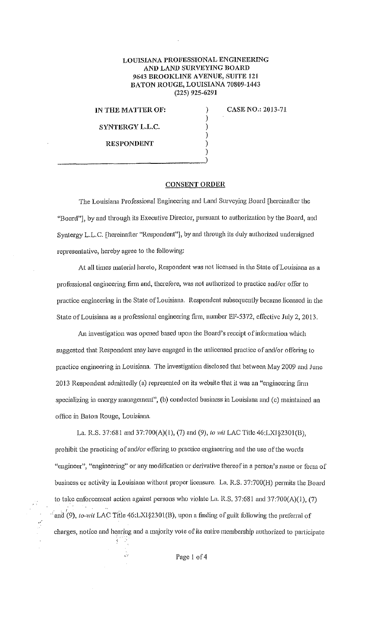## LOUISIANA PROFESSIONAL ENGINEERING AND LAND SURVEYING BOARD 9643 BROOKLINE AVENUE, SUITE 121 BATON ROUGE, LOUISIANA 70809-1443 (225) 925-6291

) ) ) ) )

IN THE MATTER OF:

SYNTERGY L.L.C.

CASE NO.: 2013-71

RESPONDENT  $\begin{pmatrix} \text{Resionbert} \\ \text{Sigma} \end{pmatrix}$ 

## **CONSENT ORDER**

The Louisiana Professional Engineering and Land Surveying Board [hereinafter the "Board"], by and through its Executive Director, pursuant to authorization by the Board, and Syntergy L.L.C. [hereinafter "Respondent"], by and through its duly authorized undersigned representative, hereby agree to the following:

At all times material hereto, Respondent was not licensed in the State of Louisiana as a professional engineering firm and, therefore, was not authorized to practice and/or offer to practice engineering in the State of Louisiana. Respondent subsequently became licensed in the State of Louisiana as a professional engineering firm, number EF-5372, effective July 2, 2013.

An investigation was opened based upon the Board's receipt of information which suggested that Respondent may have engaged in the unlicensed practice of and/or offering to practice engineering in Louisiana. The investigation disclosed that between May 2009 and June 2013 Respondent admittedly (a) represented on its website that it was an "engineering firm specializing in energy management", (b) conducted business in Louisiana and (c) maintained an office in Baton Rouge, Louisiana.

La. IZ.S. 37:681 and 37:700(A)(l), (7) and (9), *to wit* LAC Tille 46:LXJ§230l(B), prohibit the practicing of and/or offering to practice engineering and the use of the words "engineer", "engineering" or any modification or derivative thereof in a person's name or form of business or activity in Louisiana without proper licensure. La. R.S. 37:700(H) permits the Board to take enforcement action against persons who violate La. R.S.  $37:681$  and  $37:700(A)(1)$ ,  $(7)$ <sup>2</sup> and (9), *to-wit* LAC Title 46:LXI§2301(B), upon a finding of guilt following the preferral of charges, notice and hearing and a majority vote of its entire membership authorized to participate

.,

 $\mathcal{L}_{\mathcal{A}}$ 

 $\frac{1}{\sqrt{2}}$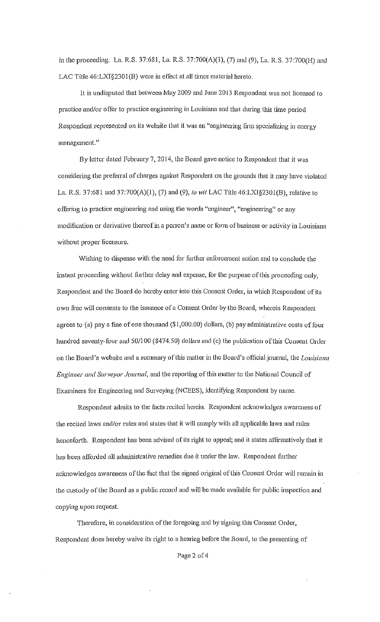in the proceeding. La. R.S. 37:681, La. R.S. 37:700(A)(1), (7) and (9), La. R.S. 37:700(H) and LAC Title 46:LXI§2301(B) were in effect at all times material hereto.

It is undisputed that between May 2009 and June 2013 Respondent was not licensed to practice and/or o fter to practice engineering in Louisiana and that during this time period Respondent represented on its website that it was an "engineering firm specializing in energy management."

By letter dated February 7, 2014, the Board gave notice to Respondent that it was considering the preferral of charges against Respondent on the grounds that it may have violated Ln. R.S. 37:681 anc137:700(A)(l), (7) and (9), *to wit* LAC Title 46:LX1§230J(B), relative to offering to practice engineering and using the words "engineer", "engineering" or any modification or derivative thereof in a person's name or form of business or activity in Louisiana without proper licensure.

Wishing to dispense with the need for further enforcement action and to conclude the instant proceeding without further delay and expense, for the purpose of this proceeding only, Respondent and the Board do hereby enter into this Consent Order, in which Respondent of its own free will consents to the issuance of a Consent Order by the Board, wherein Respondent agrees to (a) pay a fine of one thousand  $(\$1,000.00)$  dollars, (b) pay administrative costs of four hundred seventy-four and 50/100 (\$474.50) dollars and (c) the publication of this Consent Order on the Board's website and a summary of Ibis matter in the Board's otlicialjournal, the *Louisiana Engineer and Surveyor Joumal,* and the reporting ofthis matter to the National Council of Examiners ior Engineering and Surveying (NCEES), identifying Respondent by name.

Respondent admits to the facts recited herein. Respondent acknowledges awareness of the recited laws and/or rules and states that it will comply with all applicable laws and rules henceforth. Respondent has been advised of its right to appeal; and it states affumatively that it has been afforded all administrative remedies due it under the law. Respondent further acknowledges awareness of the fact that the signed original of this Consent Order will remain in the custody of the Board as a public record and will be made available for public inspection and copying upon request.

Therefore, in consideration of the foregoing and by signing this Consent Order, Respondent does hereby waive its right to a hearing before the Board, to the presenting of

Page 2 of 4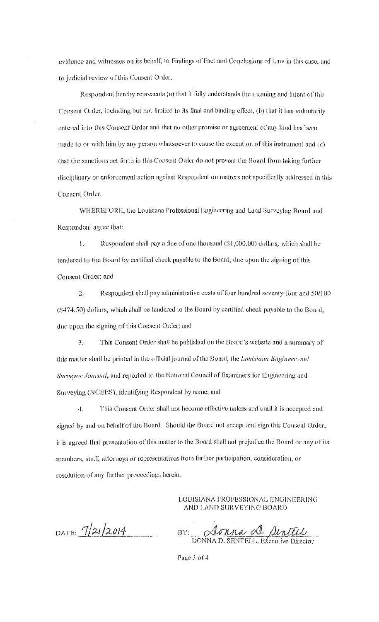evidence and witnesses on its behalf, to Findings of Fact and Conclusions of Law in this case, and to judicial review of this Consent Order,

Respondent hereby represents (a) that it fully understands the meaning and intent of this Consent Order, including but not limited to its final and binding effect, (b) that it has voluntarily entered into this Consent Order and that no other promise or agreement of any kind has been made to or with him by any person whatsoever to cause the execution of this instrument and (c) that the sanctions set forth in this Consent Order do not prevent the Board from taking further disciplinary or enforcement action against Respondent on matters not specifically addressed in this Consent Order.

WHEREFORE, the Louisiana Professional Engineering and Land Surveying Board and Respondent agree that:

 $\mathbf{I}$ . Respondent shall pay a fine of one thousand (\$1,000.00) dollars, which shall be tendered to the Board by certified check payable to the Board, due upon the signing of this Consent Order; and

 $\overline{2}$ . Respondent shall pay administrative costs of four hundred seventy-four and 50/100 (\$474.50) dollars, which shall be tendered to the Board by certified check payable to the Board, due upon the signing of this Consent Order; and

This Consent Order shall be published on the Board's website and a summary of 3. this matter shall be printed in the official journal of the Board, the Louisiana Engineer and Survevor Journal, and reported to the National Council of Examiners for Engineering and Surveying (NCEES), identifying Respondent by name; and

This Consent Order shall not become effective unless and until it is accepted and 4. signed by and on behalf of the Board. Should the Board not accept and sign this Consent Order, it is agreed that presentation of this matter to the Board shall not prejudice the Board or any of its members, staff, attorneys or representatives from further participation, consideration, or resolution of any further proceedings herein.

> LOUISIANA PROFESSIONAL ENGINEERING AND LAND SURVEYING BOARD

DATE:  $7/21/2014$ 

<u>Aonna A Aintell</u><br>DONNA D. SENTELL. Executive Director BY:

Page 3 of 4